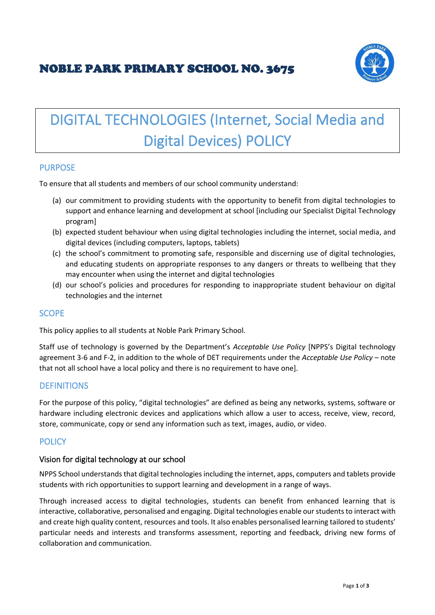# NOBLE PARK PRIMARY SCHOOL NO. 3675



# DIGITAL TECHNOLOGIES (Internet, Social Media and Digital Devices) POLICY

# **PURPOSE**

To ensure that all students and members of our school community understand:

- (a) our commitment to providing students with the opportunity to benefit from digital technologies to support and enhance learning and development at school [including our Specialist Digital Technology program]
- (b) expected student behaviour when using digital technologies including the internet, social media, and digital devices (including computers, laptops, tablets)
- (c) the school's commitment to promoting safe, responsible and discerning use of digital technologies, and educating students on appropriate responses to any dangers or threats to wellbeing that they may encounter when using the internet and digital technologies
- (d) our school's policies and procedures for responding to inappropriate student behaviour on digital technologies and the internet

# **SCOPE**

This policy applies to all students at Noble Park Primary School.

Staff use of technology is governed by the Department's *Acceptable Use Policy* [NPPS's Digital technology agreement 3-6 and F-2, in addition to the whole of DET requirements under the *Acceptable Use Policy* – note that not all school have a local policy and there is no requirement to have one].

# **DEFINITIONS**

For the purpose of this policy, "digital technologies" are defined as being any networks, systems, software or hardware including electronic devices and applications which allow a user to access, receive, view, record, store, communicate, copy or send any information such as text, images, audio, or video.

#### **POLICY**

#### Vision for digital technology at our school

NPPS School understands that digital technologies including the internet, apps, computers and tablets provide students with rich opportunities to support learning and development in a range of ways.

Through increased access to digital technologies, students can benefit from enhanced learning that is interactive, collaborative, personalised and engaging. Digital technologies enable our students to interact with and create high quality content, resources and tools. It also enables personalised learning tailored to students' particular needs and interests and transforms assessment, reporting and feedback, driving new forms of collaboration and communication.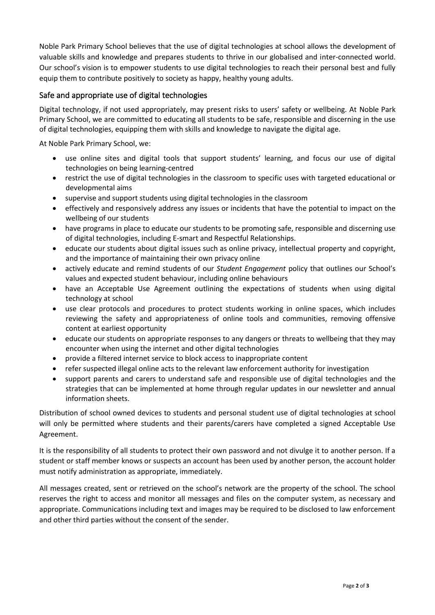Noble Park Primary School believes that the use of digital technologies at school allows the development of valuable skills and knowledge and prepares students to thrive in our globalised and inter-connected world. Our school's vision is to empower students to use digital technologies to reach their personal best and fully equip them to contribute positively to society as happy, healthy young adults.

## Safe and appropriate use of digital technologies

Digital technology, if not used appropriately, may present risks to users' safety or wellbeing. At Noble Park Primary School, we are committed to educating all students to be safe, responsible and discerning in the use of digital technologies, equipping them with skills and knowledge to navigate the digital age.

At Noble Park Primary School, we:

- use online sites and digital tools that support students' learning, and focus our use of digital technologies on being learning-centred
- restrict the use of digital technologies in the classroom to specific uses with targeted educational or developmental aims
- supervise and support students using digital technologies in the classroom
- effectively and responsively address any issues or incidents that have the potential to impact on the wellbeing of our students
- have programs in place to educate our students to be promoting safe, responsible and discerning use of digital technologies, including E-smart and Respectful Relationships.
- educate our students about digital issues such as online privacy, intellectual property and copyright, and the importance of maintaining their own privacy online
- actively educate and remind students of our *Student Engagement* policy that outlines our School's values and expected student behaviour, including online behaviours
- have an Acceptable Use Agreement outlining the expectations of students when using digital technology at school
- use clear protocols and procedures to protect students working in online spaces, which includes reviewing the safety and appropriateness of online tools and communities, removing offensive content at earliest opportunity
- educate our students on appropriate responses to any dangers or threats to wellbeing that they may encounter when using the internet and other digital technologies
- provide a filtered internet service to block access to inappropriate content
- refer suspected illegal online acts to the relevant law enforcement authority for investigation
- support parents and carers to understand safe and responsible use of digital technologies and the strategies that can be implemented at home through regular updates in our newsletter and annual information sheets.

Distribution of school owned devices to students and personal student use of digital technologies at school will only be permitted where students and their parents/carers have completed a signed Acceptable Use Agreement.

It is the responsibility of all students to protect their own password and not divulge it to another person. If a student or staff member knows or suspects an account has been used by another person, the account holder must notify administration as appropriate, immediately.

All messages created, sent or retrieved on the school's network are the property of the school. The school reserves the right to access and monitor all messages and files on the computer system, as necessary and appropriate. Communications including text and images may be required to be disclosed to law enforcement and other third parties without the consent of the sender.